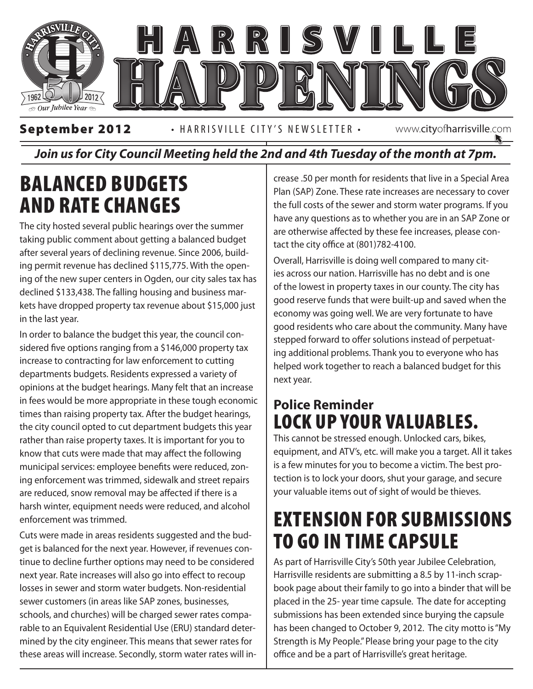

#### *Join us for City Council Meeting held the 2nd and 4th Tuesday of the month at 7pm.*

### Balanced Budgets and Rate Changes

The city hosted several public hearings over the summer taking public comment about getting a balanced budget after several years of declining revenue. Since 2006, building permit revenue has declined \$115,775. With the opening of the new super centers in Ogden, our city sales tax has declined \$133,438. The falling housing and business markets have dropped property tax revenue about \$15,000 just in the last year.

In order to balance the budget this year, the council considered five options ranging from a \$146,000 property tax increase to contracting for law enforcement to cutting departments budgets. Residents expressed a variety of opinions at the budget hearings. Many felt that an increase in fees would be more appropriate in these tough economic times than raising property tax. After the budget hearings, the city council opted to cut department budgets this year rather than raise property taxes. It is important for you to know that cuts were made that may affect the following municipal services: employee benefits were reduced, zoning enforcement was trimmed, sidewalk and street repairs are reduced, snow removal may be affected if there is a harsh winter, equipment needs were reduced, and alcohol enforcement was trimmed.

Cuts were made in areas residents suggested and the budget is balanced for the next year. However, if revenues continue to decline further options may need to be considered next year. Rate increases will also go into effect to recoup losses in sewer and storm water budgets. Non-residential sewer customers (in areas like SAP zones, businesses, schools, and churches) will be charged sewer rates comparable to an Equivalent Residential Use (ERU) standard determined by the city engineer. This means that sewer rates for these areas will increase. Secondly, storm water rates will increase .50 per month for residents that live in a Special Area Plan (SAP) Zone. These rate increases are necessary to cover the full costs of the sewer and storm water programs. If you have any questions as to whether you are in an SAP Zone or are otherwise affected by these fee increases, please contact the city office at (801)782-4100.

 $\begin{array}{c} \text{cutting} \\ \text{helped work together to reach a balanced budget for this} \end{array}$ Overall, Harrisville is doing well compared to many cities across our nation. Harrisville has no debt and is one of the lowest in property taxes in our county. The city has good reserve funds that were built-up and saved when the economy was going well. We are very fortunate to have good residents who care about the community. Many have stepped forward to offer solutions instead of perpetuating additional problems. Thank you to everyone who has next year.

#### **Police Reminder**  LOCK UP YOUR VALUABLES.

This cannot be stressed enough. Unlocked cars, bikes, equipment, and ATV's, etc. will make you a target. All it takes is a few minutes for you to become a victim. The best protection is to lock your doors, shut your garage, and secure your valuable items out of sight of would be thieves.

#### EXTENSION FOR SUBMISSIONS TO GO IN TIME CAPSULE

As part of Harrisville City's 50th year Jubilee Celebration, Harrisville residents are submitting a 8.5 by 11-inch scrapbook page about their family to go into a binder that will be placed in the 25- year time capsule. The date for accepting submissions has been extended since burying the capsule has been changed to October 9, 2012. The city motto is "My Strength is My People." Please bring your page to the city office and be a part of Harrisville's great heritage.